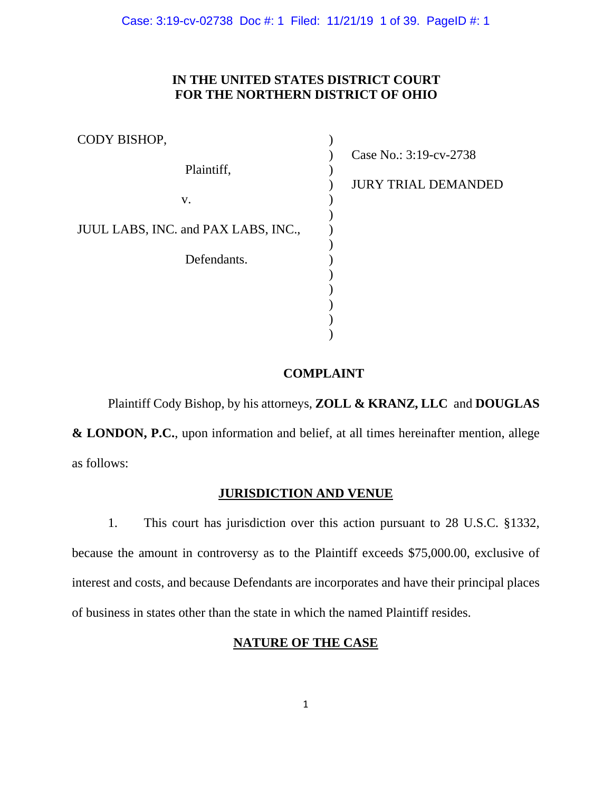Case: 3:19-cv-02738 Doc #: 1 Filed: 11/21/19 1 of 39. PageID #: 1

# **IN THE UNITED STATES DISTRICT COURT FOR THE NORTHERN DISTRICT OF OHIO**

| CODY BISHOP,                        |                                                      |
|-------------------------------------|------------------------------------------------------|
| Plaintiff,                          | Case No.: 3:19-cv-2738<br><b>JURY TRIAL DEMANDED</b> |
| V.                                  |                                                      |
| JUUL LABS, INC. and PAX LABS, INC., |                                                      |
| Defendants.                         |                                                      |
|                                     |                                                      |
|                                     |                                                      |

## **COMPLAINT**

Plaintiff Cody Bishop, by his attorneys, **ZOLL & KRANZ, LLC** and **DOUGLAS & LONDON, P.C.**, upon information and belief, at all times hereinafter mention, allege as follows:

# **JURISDICTION AND VENUE**

1. This court has jurisdiction over this action pursuant to 28 U.S.C. §1332, because the amount in controversy as to the Plaintiff exceeds \$75,000.00, exclusive of interest and costs, and because Defendants are incorporates and have their principal places of business in states other than the state in which the named Plaintiff resides.

# **NATURE OF THE CASE**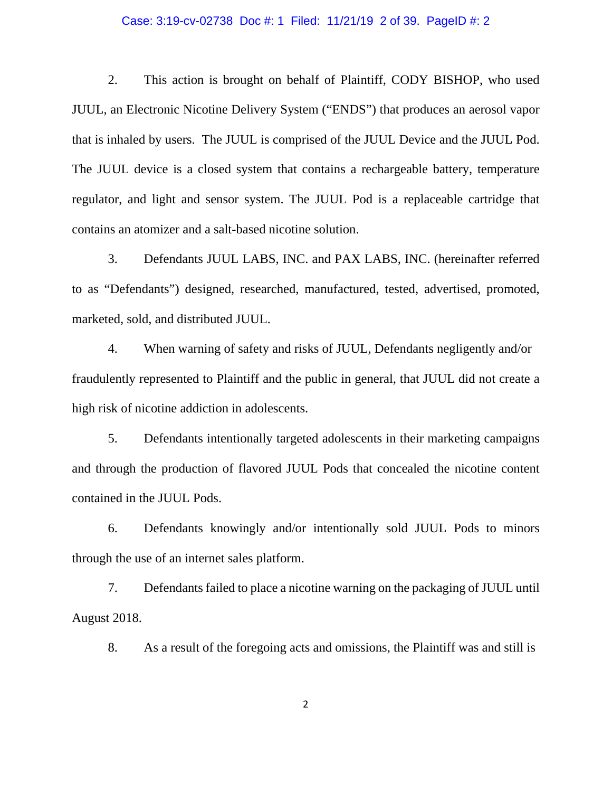#### Case: 3:19-cv-02738 Doc #: 1 Filed: 11/21/19 2 of 39. PageID #: 2

2. This action is brought on behalf of Plaintiff, CODY BISHOP, who used JUUL, an Electronic Nicotine Delivery System ("ENDS") that produces an aerosol vapor that is inhaled by users. The JUUL is comprised of the JUUL Device and the JUUL Pod. The JUUL device is a closed system that contains a rechargeable battery, temperature regulator, and light and sensor system. The JUUL Pod is a replaceable cartridge that contains an atomizer and a salt-based nicotine solution.

3. Defendants JUUL LABS, INC. and PAX LABS, INC. (hereinafter referred to as "Defendants") designed, researched, manufactured, tested, advertised, promoted, marketed, sold, and distributed JUUL.

4. When warning of safety and risks of JUUL, Defendants negligently and/or fraudulently represented to Plaintiff and the public in general, that JUUL did not create a high risk of nicotine addiction in adolescents.

5. Defendants intentionally targeted adolescents in their marketing campaigns and through the production of flavored JUUL Pods that concealed the nicotine content contained in the JUUL Pods.

6. Defendants knowingly and/or intentionally sold JUUL Pods to minors through the use of an internet sales platform.

7. Defendants failed to place a nicotine warning on the packaging of JUUL until August 2018.

8. As a result of the foregoing acts and omissions, the Plaintiff was and still is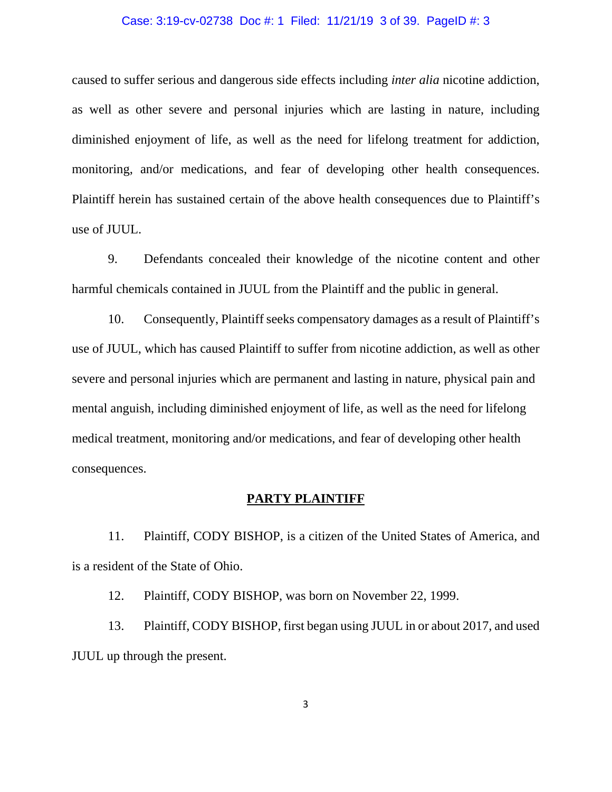#### Case: 3:19-cv-02738 Doc #: 1 Filed: 11/21/19 3 of 39. PageID #: 3

caused to suffer serious and dangerous side effects including *inter alia* nicotine addiction, as well as other severe and personal injuries which are lasting in nature, including diminished enjoyment of life, as well as the need for lifelong treatment for addiction, monitoring, and/or medications, and fear of developing other health consequences. Plaintiff herein has sustained certain of the above health consequences due to Plaintiff's use of JUUL.

9. Defendants concealed their knowledge of the nicotine content and other harmful chemicals contained in JUUL from the Plaintiff and the public in general.

10. Consequently, Plaintiff seeks compensatory damages as a result of Plaintiff's use of JUUL, which has caused Plaintiff to suffer from nicotine addiction, as well as other severe and personal injuries which are permanent and lasting in nature, physical pain and mental anguish, including diminished enjoyment of life, as well as the need for lifelong medical treatment, monitoring and/or medications, and fear of developing other health consequences.

## **PARTY PLAINTIFF**

11. Plaintiff, CODY BISHOP, is a citizen of the United States of America, and is a resident of the State of Ohio.

12. Plaintiff, CODY BISHOP, was born on November 22, 1999.

13. Plaintiff, CODY BISHOP, first began using JUUL in or about 2017, and used JUUL up through the present.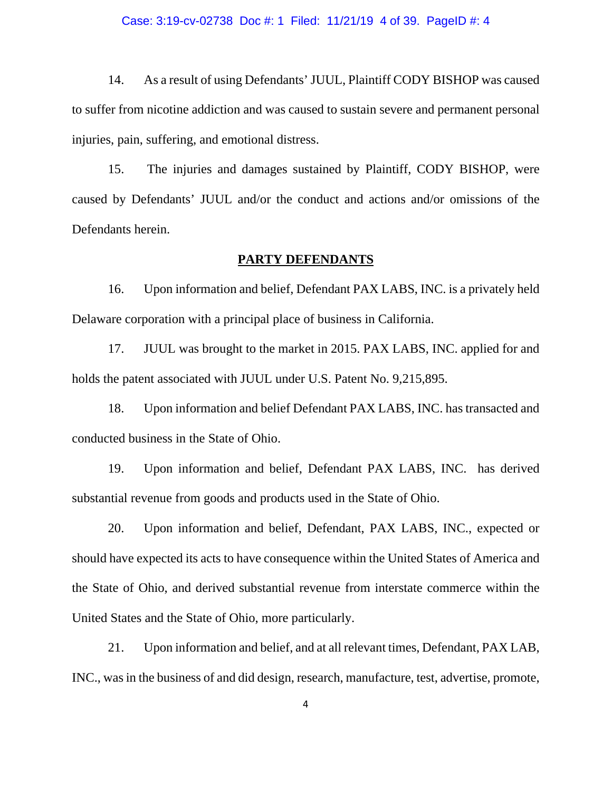#### Case: 3:19-cv-02738 Doc #: 1 Filed: 11/21/19 4 of 39. PageID #: 4

14. As a result of using Defendants' JUUL, Plaintiff CODY BISHOP was caused to suffer from nicotine addiction and was caused to sustain severe and permanent personal injuries, pain, suffering, and emotional distress.

15. The injuries and damages sustained by Plaintiff, CODY BISHOP, were caused by Defendants' JUUL and/or the conduct and actions and/or omissions of the Defendants herein.

### **PARTY DEFENDANTS**

16. Upon information and belief, Defendant PAX LABS, INC. is a privately held Delaware corporation with a principal place of business in California.

17. JUUL was brought to the market in 2015. PAX LABS, INC. applied for and holds the patent associated with JUUL under U.S. Patent No. 9,215,895.

18. Upon information and belief Defendant PAX LABS, INC. has transacted and conducted business in the State of Ohio.

19. Upon information and belief, Defendant PAX LABS, INC. has derived substantial revenue from goods and products used in the State of Ohio.

20. Upon information and belief, Defendant, PAX LABS, INC., expected or should have expected its acts to have consequence within the United States of America and the State of Ohio, and derived substantial revenue from interstate commerce within the United States and the State of Ohio, more particularly.

21. Upon information and belief, and at all relevant times, Defendant, PAX LAB, INC., was in the business of and did design, research, manufacture, test, advertise, promote,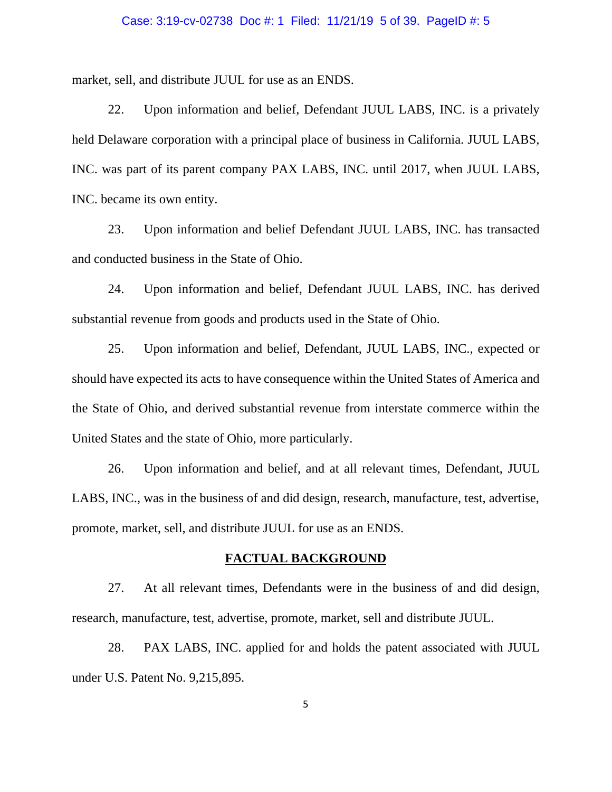#### Case: 3:19-cv-02738 Doc #: 1 Filed: 11/21/19 5 of 39. PageID #: 5

market, sell, and distribute JUUL for use as an ENDS.

22. Upon information and belief, Defendant JUUL LABS, INC. is a privately held Delaware corporation with a principal place of business in California. JUUL LABS, INC. was part of its parent company PAX LABS, INC. until 2017, when JUUL LABS, INC. became its own entity.

23. Upon information and belief Defendant JUUL LABS, INC. has transacted and conducted business in the State of Ohio.

24. Upon information and belief, Defendant JUUL LABS, INC. has derived substantial revenue from goods and products used in the State of Ohio.

25. Upon information and belief, Defendant, JUUL LABS, INC., expected or should have expected its acts to have consequence within the United States of America and the State of Ohio, and derived substantial revenue from interstate commerce within the United States and the state of Ohio, more particularly.

26. Upon information and belief, and at all relevant times, Defendant, JUUL LABS, INC., was in the business of and did design, research, manufacture, test, advertise, promote, market, sell, and distribute JUUL for use as an ENDS.

### **FACTUAL BACKGROUND**

27. At all relevant times, Defendants were in the business of and did design, research, manufacture, test, advertise, promote, market, sell and distribute JUUL.

28. PAX LABS, INC. applied for and holds the patent associated with JUUL under U.S. Patent No. 9,215,895.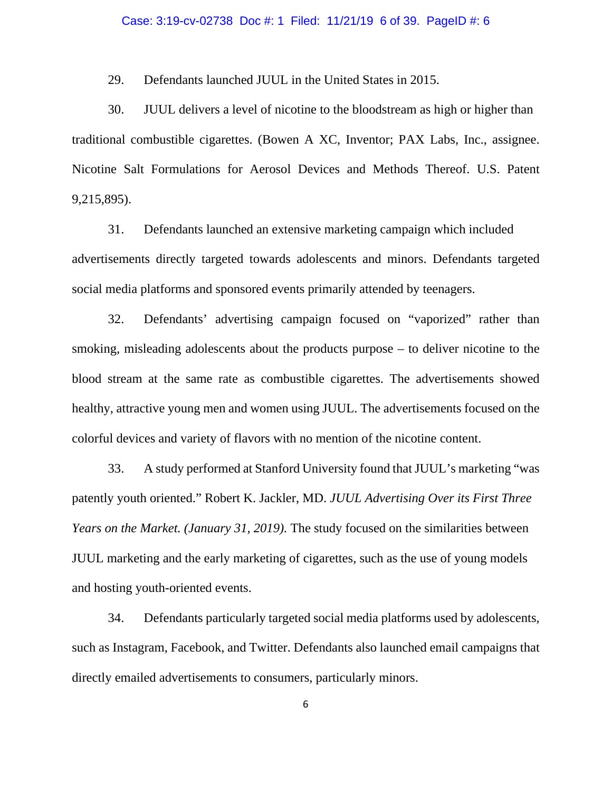#### Case: 3:19-cv-02738 Doc #: 1 Filed: 11/21/19 6 of 39. PageID #: 6

29. Defendants launched JUUL in the United States in 2015.

30. JUUL delivers a level of nicotine to the bloodstream as high or higher than traditional combustible cigarettes. (Bowen A XC, Inventor; PAX Labs, Inc., assignee. Nicotine Salt Formulations for Aerosol Devices and Methods Thereof. U.S. Patent 9,215,895).

31. Defendants launched an extensive marketing campaign which included advertisements directly targeted towards adolescents and minors. Defendants targeted social media platforms and sponsored events primarily attended by teenagers.

32. Defendants' advertising campaign focused on "vaporized" rather than smoking, misleading adolescents about the products purpose – to deliver nicotine to the blood stream at the same rate as combustible cigarettes. The advertisements showed healthy, attractive young men and women using JUUL. The advertisements focused on the colorful devices and variety of flavors with no mention of the nicotine content.

33. A study performed at Stanford University found that JUUL's marketing "was patently youth oriented." Robert K. Jackler, MD. *JUUL Advertising Over its First Three Years on the Market. (January 31, 2019).* The study focused on the similarities between JUUL marketing and the early marketing of cigarettes, such as the use of young models and hosting youth-oriented events.

34. Defendants particularly targeted social media platforms used by adolescents, such as Instagram, Facebook, and Twitter. Defendants also launched email campaigns that directly emailed advertisements to consumers, particularly minors.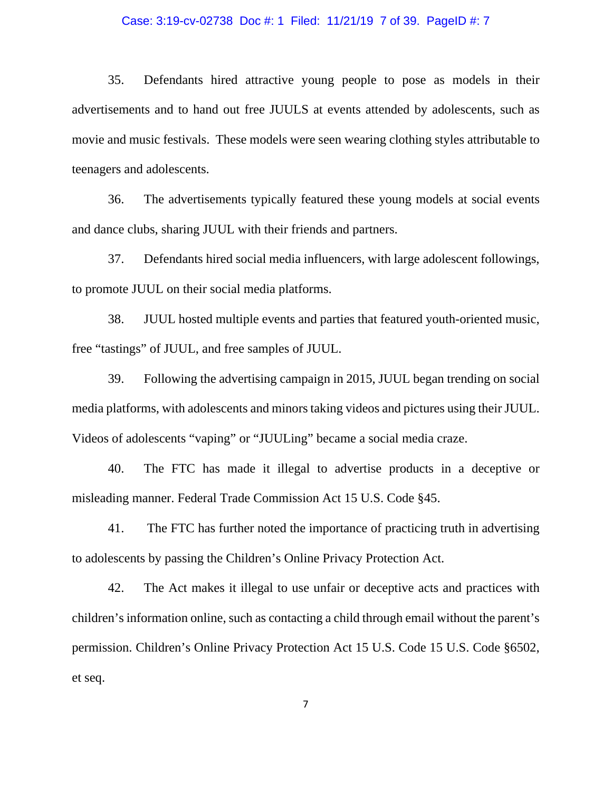#### Case: 3:19-cv-02738 Doc #: 1 Filed: 11/21/19 7 of 39. PageID #: 7

35. Defendants hired attractive young people to pose as models in their advertisements and to hand out free JUULS at events attended by adolescents, such as movie and music festivals. These models were seen wearing clothing styles attributable to teenagers and adolescents.

36. The advertisements typically featured these young models at social events and dance clubs, sharing JUUL with their friends and partners.

37. Defendants hired social media influencers, with large adolescent followings, to promote JUUL on their social media platforms.

38. JUUL hosted multiple events and parties that featured youth-oriented music, free "tastings" of JUUL, and free samples of JUUL.

39. Following the advertising campaign in 2015, JUUL began trending on social media platforms, with adolescents and minors taking videos and pictures using their JUUL. Videos of adolescents "vaping" or "JUULing" became a social media craze.

40. The FTC has made it illegal to advertise products in a deceptive or misleading manner. Federal Trade Commission Act 15 U.S. Code §45.

41. The FTC has further noted the importance of practicing truth in advertising to adolescents by passing the Children's Online Privacy Protection Act.

42. The Act makes it illegal to use unfair or deceptive acts and practices with children's information online, such as contacting a child through email without the parent's permission. Children's Online Privacy Protection Act 15 U.S. Code 15 U.S. Code §6502, et seq.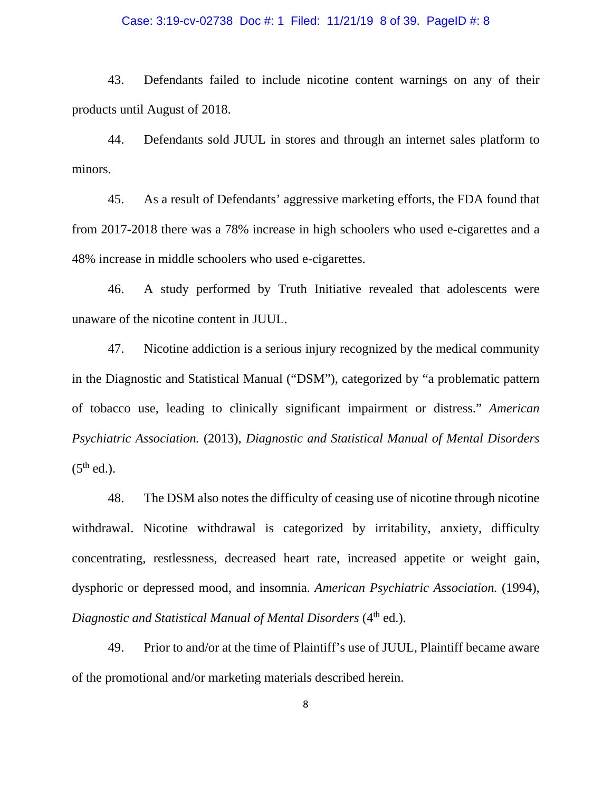#### Case: 3:19-cv-02738 Doc #: 1 Filed: 11/21/19 8 of 39. PageID #: 8

43. Defendants failed to include nicotine content warnings on any of their products until August of 2018.

44. Defendants sold JUUL in stores and through an internet sales platform to minors.

45. As a result of Defendants' aggressive marketing efforts, the FDA found that from 2017-2018 there was a 78% increase in high schoolers who used e-cigarettes and a 48% increase in middle schoolers who used e-cigarettes.

46. A study performed by Truth Initiative revealed that adolescents were unaware of the nicotine content in JUUL.

47. Nicotine addiction is a serious injury recognized by the medical community in the Diagnostic and Statistical Manual ("DSM"), categorized by "a problematic pattern of tobacco use, leading to clinically significant impairment or distress." *American Psychiatric Association.* (2013), *Diagnostic and Statistical Manual of Mental Disorders*   $(5<sup>th</sup>$  ed.).

48. The DSM also notes the difficulty of ceasing use of nicotine through nicotine withdrawal. Nicotine withdrawal is categorized by irritability, anxiety, difficulty concentrating, restlessness, decreased heart rate, increased appetite or weight gain, dysphoric or depressed mood, and insomnia. *American Psychiatric Association.* (1994), *Diagnostic and Statistical Manual of Mental Disorders* (4<sup>th</sup> ed.).

49. Prior to and/or at the time of Plaintiff's use of JUUL, Plaintiff became aware of the promotional and/or marketing materials described herein.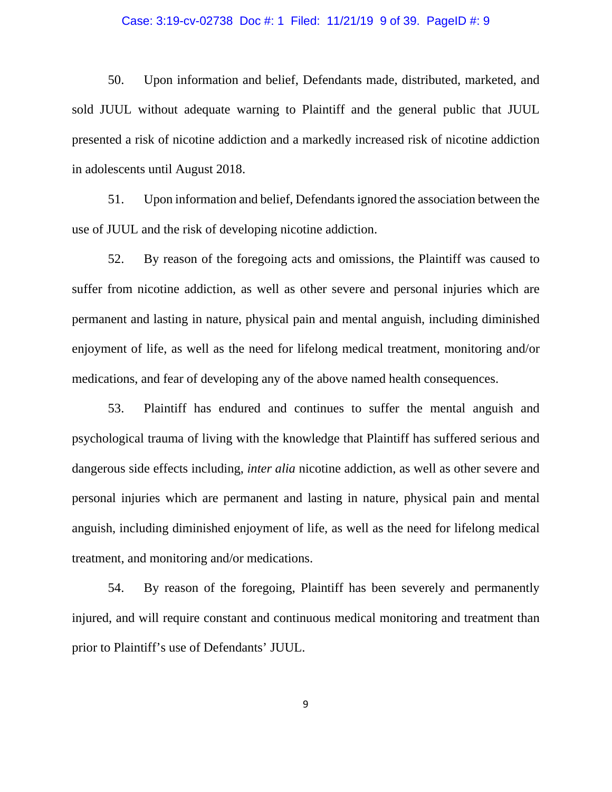#### Case: 3:19-cv-02738 Doc #: 1 Filed: 11/21/19 9 of 39. PageID #: 9

50. Upon information and belief, Defendants made, distributed, marketed, and sold JUUL without adequate warning to Plaintiff and the general public that JUUL presented a risk of nicotine addiction and a markedly increased risk of nicotine addiction in adolescents until August 2018.

51. Upon information and belief, Defendants ignored the association between the use of JUUL and the risk of developing nicotine addiction.

52. By reason of the foregoing acts and omissions, the Plaintiff was caused to suffer from nicotine addiction, as well as other severe and personal injuries which are permanent and lasting in nature, physical pain and mental anguish, including diminished enjoyment of life, as well as the need for lifelong medical treatment, monitoring and/or medications, and fear of developing any of the above named health consequences.

53. Plaintiff has endured and continues to suffer the mental anguish and psychological trauma of living with the knowledge that Plaintiff has suffered serious and dangerous side effects including, *inter alia* nicotine addiction, as well as other severe and personal injuries which are permanent and lasting in nature, physical pain and mental anguish, including diminished enjoyment of life, as well as the need for lifelong medical treatment, and monitoring and/or medications.

54. By reason of the foregoing, Plaintiff has been severely and permanently injured, and will require constant and continuous medical monitoring and treatment than prior to Plaintiff's use of Defendants' JUUL.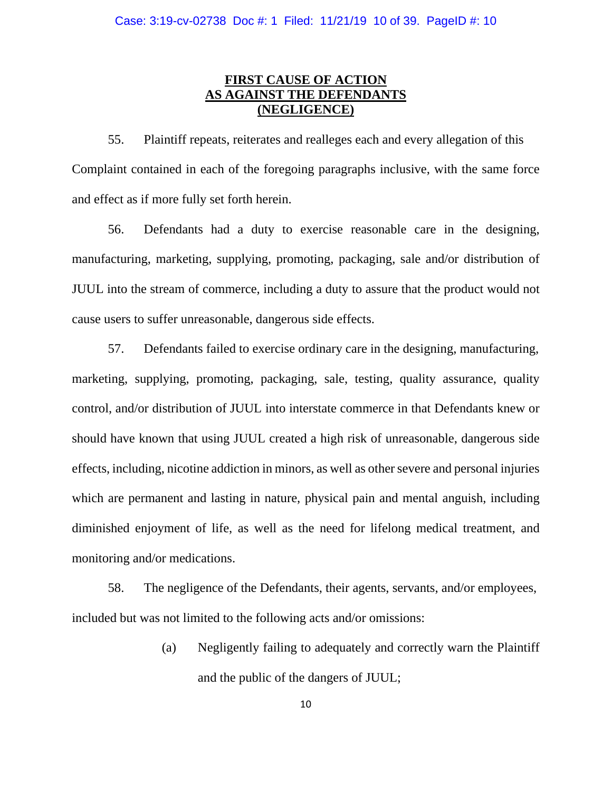# **FIRST CAUSE OF ACTION AS AGAINST THE DEFENDANTS (NEGLIGENCE)**

55. Plaintiff repeats, reiterates and realleges each and every allegation of this Complaint contained in each of the foregoing paragraphs inclusive, with the same force and effect as if more fully set forth herein.

56. Defendants had a duty to exercise reasonable care in the designing, manufacturing, marketing, supplying, promoting, packaging, sale and/or distribution of JUUL into the stream of commerce, including a duty to assure that the product would not cause users to suffer unreasonable, dangerous side effects.

57. Defendants failed to exercise ordinary care in the designing, manufacturing, marketing, supplying, promoting, packaging, sale, testing, quality assurance, quality control, and/or distribution of JUUL into interstate commerce in that Defendants knew or should have known that using JUUL created a high risk of unreasonable, dangerous side effects, including, nicotine addiction in minors, as well as other severe and personal injuries which are permanent and lasting in nature, physical pain and mental anguish, including diminished enjoyment of life, as well as the need for lifelong medical treatment, and monitoring and/or medications.

58. The negligence of the Defendants, their agents, servants, and/or employees, included but was not limited to the following acts and/or omissions:

> (a) Negligently failing to adequately and correctly warn the Plaintiff and the public of the dangers of JUUL;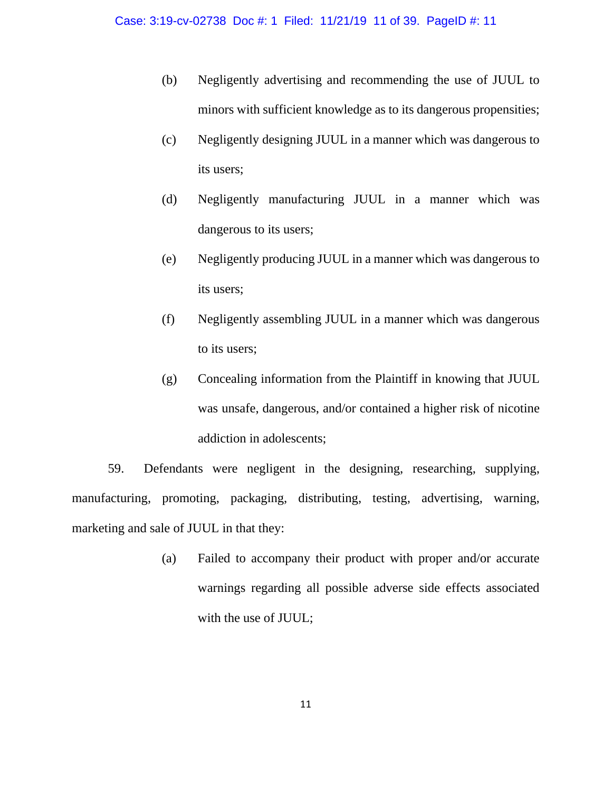- (b) Negligently advertising and recommending the use of JUUL to minors with sufficient knowledge as to its dangerous propensities;
- (c) Negligently designing JUUL in a manner which was dangerous to its users;
- (d) Negligently manufacturing JUUL in a manner which was dangerous to its users;
- (e) Negligently producing JUUL in a manner which was dangerous to its users;
- (f) Negligently assembling JUUL in a manner which was dangerous to its users;
- (g) Concealing information from the Plaintiff in knowing that JUUL was unsafe, dangerous, and/or contained a higher risk of nicotine addiction in adolescents;

59. Defendants were negligent in the designing, researching, supplying, manufacturing, promoting, packaging, distributing, testing, advertising, warning, marketing and sale of JUUL in that they:

> (a) Failed to accompany their product with proper and/or accurate warnings regarding all possible adverse side effects associated with the use of JUUL;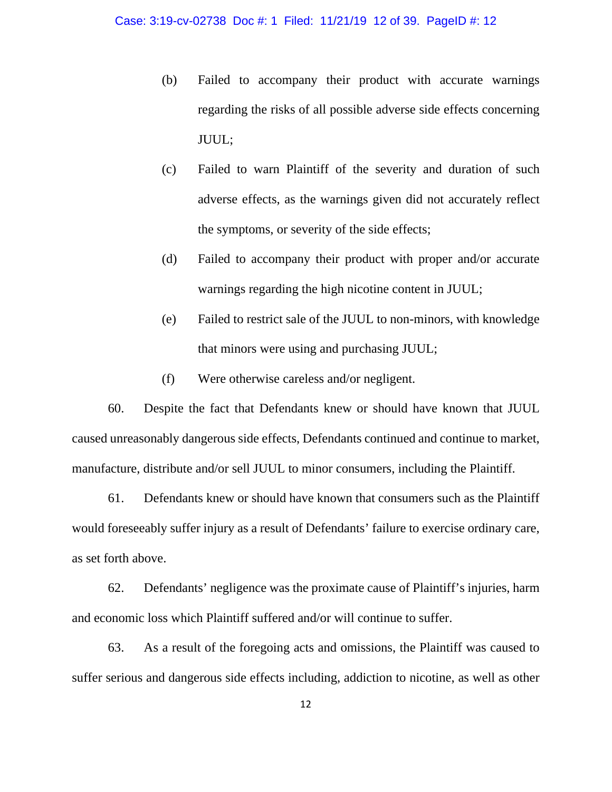- (b) Failed to accompany their product with accurate warnings regarding the risks of all possible adverse side effects concerning JUUL;
- (c) Failed to warn Plaintiff of the severity and duration of such adverse effects, as the warnings given did not accurately reflect the symptoms, or severity of the side effects;
- (d) Failed to accompany their product with proper and/or accurate warnings regarding the high nicotine content in JUUL;
- (e) Failed to restrict sale of the JUUL to non-minors, with knowledge that minors were using and purchasing JUUL;
- (f) Were otherwise careless and/or negligent.

60. Despite the fact that Defendants knew or should have known that JUUL caused unreasonably dangerous side effects, Defendants continued and continue to market, manufacture, distribute and/or sell JUUL to minor consumers, including the Plaintiff.

61. Defendants knew or should have known that consumers such as the Plaintiff would foreseeably suffer injury as a result of Defendants' failure to exercise ordinary care, as set forth above.

62. Defendants' negligence was the proximate cause of Plaintiff's injuries, harm and economic loss which Plaintiff suffered and/or will continue to suffer.

63. As a result of the foregoing acts and omissions, the Plaintiff was caused to suffer serious and dangerous side effects including, addiction to nicotine, as well as other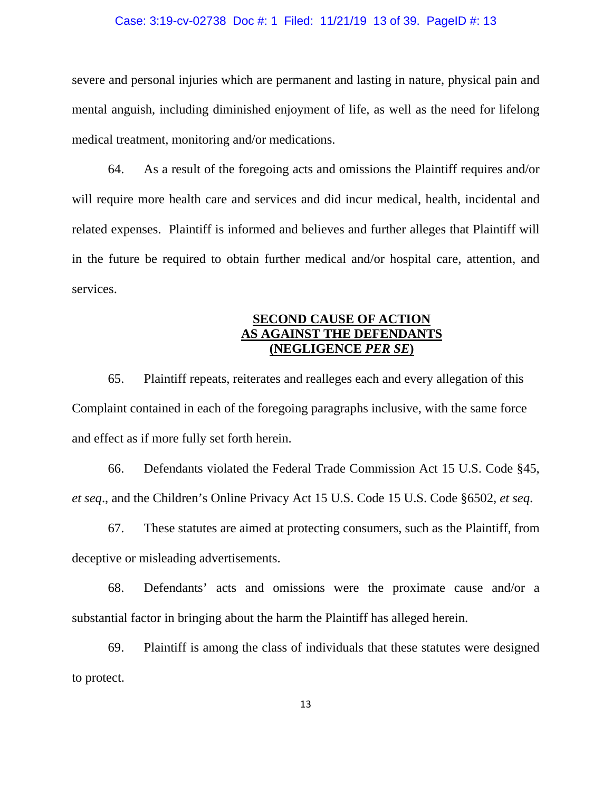#### Case: 3:19-cv-02738 Doc #: 1 Filed: 11/21/19 13 of 39. PageID #: 13

severe and personal injuries which are permanent and lasting in nature, physical pain and mental anguish, including diminished enjoyment of life, as well as the need for lifelong medical treatment, monitoring and/or medications.

64. As a result of the foregoing acts and omissions the Plaintiff requires and/or will require more health care and services and did incur medical, health, incidental and related expenses. Plaintiff is informed and believes and further alleges that Plaintiff will in the future be required to obtain further medical and/or hospital care, attention, and services.

# **SECOND CAUSE OF ACTION AS AGAINST THE DEFENDANTS (NEGLIGENCE** *PER SE***)**

65. Plaintiff repeats, reiterates and realleges each and every allegation of this Complaint contained in each of the foregoing paragraphs inclusive, with the same force and effect as if more fully set forth herein.

66. Defendants violated the Federal Trade Commission Act 15 U.S. Code §45, *et seq*., and the Children's Online Privacy Act 15 U.S. Code 15 U.S. Code §6502, *et seq*.

67. These statutes are aimed at protecting consumers, such as the Plaintiff, from deceptive or misleading advertisements.

68. Defendants' acts and omissions were the proximate cause and/or a substantial factor in bringing about the harm the Plaintiff has alleged herein.

69. Plaintiff is among the class of individuals that these statutes were designed to protect.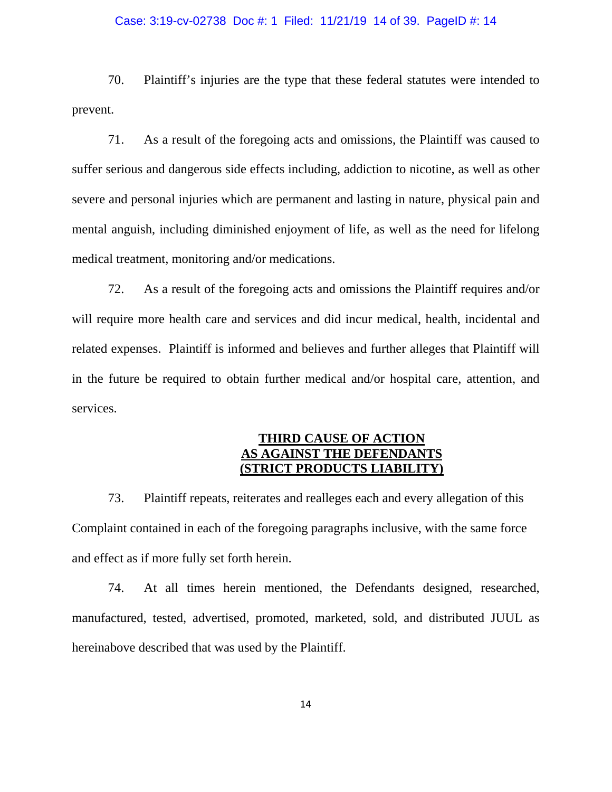#### Case: 3:19-cv-02738 Doc #: 1 Filed: 11/21/19 14 of 39. PageID #: 14

70. Plaintiff's injuries are the type that these federal statutes were intended to prevent.

71. As a result of the foregoing acts and omissions, the Plaintiff was caused to suffer serious and dangerous side effects including, addiction to nicotine, as well as other severe and personal injuries which are permanent and lasting in nature, physical pain and mental anguish, including diminished enjoyment of life, as well as the need for lifelong medical treatment, monitoring and/or medications.

72. As a result of the foregoing acts and omissions the Plaintiff requires and/or will require more health care and services and did incur medical, health, incidental and related expenses. Plaintiff is informed and believes and further alleges that Plaintiff will in the future be required to obtain further medical and/or hospital care, attention, and services.

# **THIRD CAUSE OF ACTION AS AGAINST THE DEFENDANTS (STRICT PRODUCTS LIABILITY)**

73. Plaintiff repeats, reiterates and realleges each and every allegation of this Complaint contained in each of the foregoing paragraphs inclusive, with the same force and effect as if more fully set forth herein.

74. At all times herein mentioned, the Defendants designed, researched, manufactured, tested, advertised, promoted, marketed, sold, and distributed JUUL as hereinabove described that was used by the Plaintiff.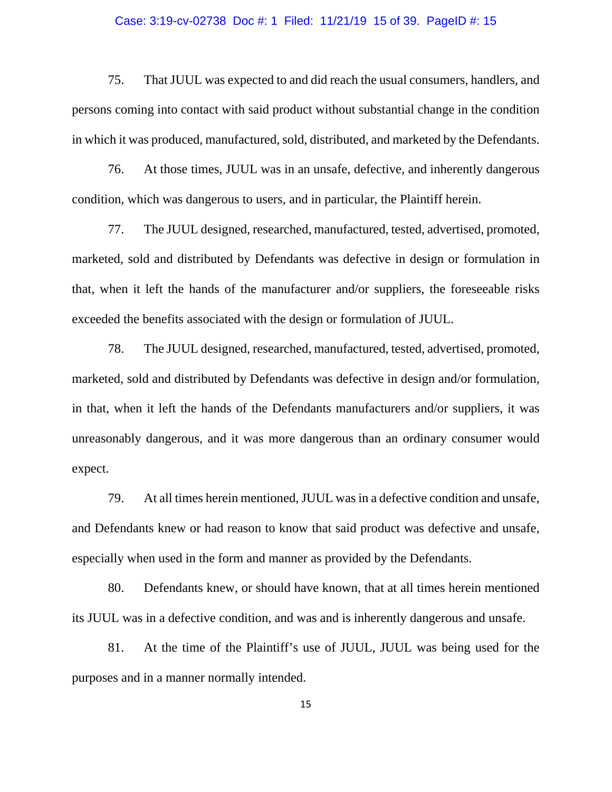#### Case: 3:19-cv-02738 Doc #: 1 Filed: 11/21/19 15 of 39. PageID #: 15

75. That JUUL was expected to and did reach the usual consumers, handlers, and persons coming into contact with said product without substantial change in the condition in which it was produced, manufactured, sold, distributed, and marketed by the Defendants.

76. At those times, JUUL was in an unsafe, defective, and inherently dangerous condition, which was dangerous to users, and in particular, the Plaintiff herein.

77. The JUUL designed, researched, manufactured, tested, advertised, promoted, marketed, sold and distributed by Defendants was defective in design or formulation in that, when it left the hands of the manufacturer and/or suppliers, the foreseeable risks exceeded the benefits associated with the design or formulation of JUUL.

78. The JUUL designed, researched, manufactured, tested, advertised, promoted, marketed, sold and distributed by Defendants was defective in design and/or formulation, in that, when it left the hands of the Defendants manufacturers and/or suppliers, it was unreasonably dangerous, and it was more dangerous than an ordinary consumer would expect.

79. At all times herein mentioned, JUUL was in a defective condition and unsafe, and Defendants knew or had reason to know that said product was defective and unsafe, especially when used in the form and manner as provided by the Defendants.

80. Defendants knew, or should have known, that at all times herein mentioned its JUUL was in a defective condition, and was and is inherently dangerous and unsafe.

81. At the time of the Plaintiff's use of JUUL, JUUL was being used for the purposes and in a manner normally intended.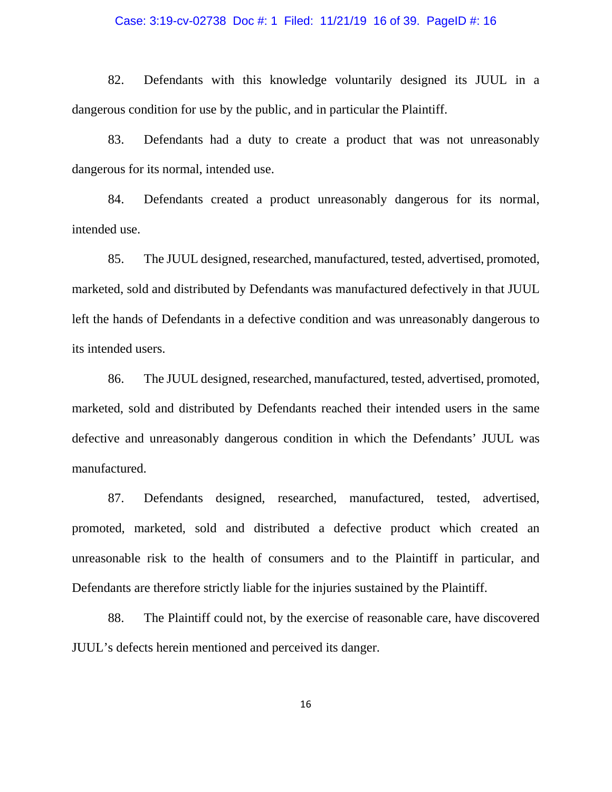#### Case: 3:19-cv-02738 Doc #: 1 Filed: 11/21/19 16 of 39. PageID #: 16

82. Defendants with this knowledge voluntarily designed its JUUL in a dangerous condition for use by the public, and in particular the Plaintiff.

83. Defendants had a duty to create a product that was not unreasonably dangerous for its normal, intended use.

84. Defendants created a product unreasonably dangerous for its normal, intended use.

85. The JUUL designed, researched, manufactured, tested, advertised, promoted, marketed, sold and distributed by Defendants was manufactured defectively in that JUUL left the hands of Defendants in a defective condition and was unreasonably dangerous to its intended users.

86. The JUUL designed, researched, manufactured, tested, advertised, promoted, marketed, sold and distributed by Defendants reached their intended users in the same defective and unreasonably dangerous condition in which the Defendants' JUUL was manufactured.

87. Defendants designed, researched, manufactured, tested, advertised, promoted, marketed, sold and distributed a defective product which created an unreasonable risk to the health of consumers and to the Plaintiff in particular, and Defendants are therefore strictly liable for the injuries sustained by the Plaintiff.

88. The Plaintiff could not, by the exercise of reasonable care, have discovered JUUL's defects herein mentioned and perceived its danger.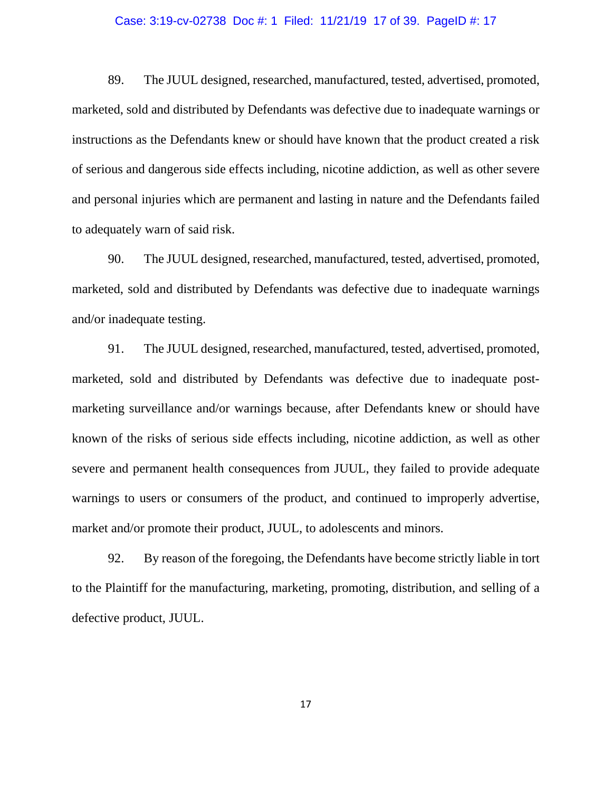#### Case: 3:19-cv-02738 Doc #: 1 Filed: 11/21/19 17 of 39. PageID #: 17

89. The JUUL designed, researched, manufactured, tested, advertised, promoted, marketed, sold and distributed by Defendants was defective due to inadequate warnings or instructions as the Defendants knew or should have known that the product created a risk of serious and dangerous side effects including, nicotine addiction, as well as other severe and personal injuries which are permanent and lasting in nature and the Defendants failed to adequately warn of said risk.

90. The JUUL designed, researched, manufactured, tested, advertised, promoted, marketed, sold and distributed by Defendants was defective due to inadequate warnings and/or inadequate testing.

91. The JUUL designed, researched, manufactured, tested, advertised, promoted, marketed, sold and distributed by Defendants was defective due to inadequate postmarketing surveillance and/or warnings because, after Defendants knew or should have known of the risks of serious side effects including, nicotine addiction, as well as other severe and permanent health consequences from JUUL, they failed to provide adequate warnings to users or consumers of the product, and continued to improperly advertise, market and/or promote their product, JUUL, to adolescents and minors.

92. By reason of the foregoing, the Defendants have become strictly liable in tort to the Plaintiff for the manufacturing, marketing, promoting, distribution, and selling of a defective product, JUUL.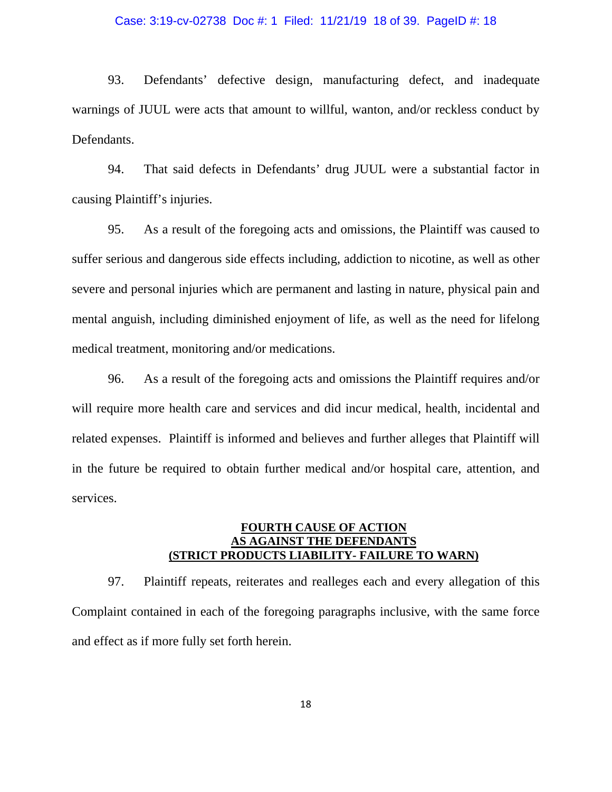#### Case: 3:19-cv-02738 Doc #: 1 Filed: 11/21/19 18 of 39. PageID #: 18

93. Defendants' defective design, manufacturing defect, and inadequate warnings of JUUL were acts that amount to willful, wanton, and/or reckless conduct by Defendants.

94. That said defects in Defendants' drug JUUL were a substantial factor in causing Plaintiff's injuries.

95. As a result of the foregoing acts and omissions, the Plaintiff was caused to suffer serious and dangerous side effects including, addiction to nicotine, as well as other severe and personal injuries which are permanent and lasting in nature, physical pain and mental anguish, including diminished enjoyment of life, as well as the need for lifelong medical treatment, monitoring and/or medications.

96. As a result of the foregoing acts and omissions the Plaintiff requires and/or will require more health care and services and did incur medical, health, incidental and related expenses. Plaintiff is informed and believes and further alleges that Plaintiff will in the future be required to obtain further medical and/or hospital care, attention, and services.

## **FOURTH CAUSE OF ACTION AS AGAINST THE DEFENDANTS (STRICT PRODUCTS LIABILITY- FAILURE TO WARN)**

97. Plaintiff repeats, reiterates and realleges each and every allegation of this Complaint contained in each of the foregoing paragraphs inclusive, with the same force and effect as if more fully set forth herein.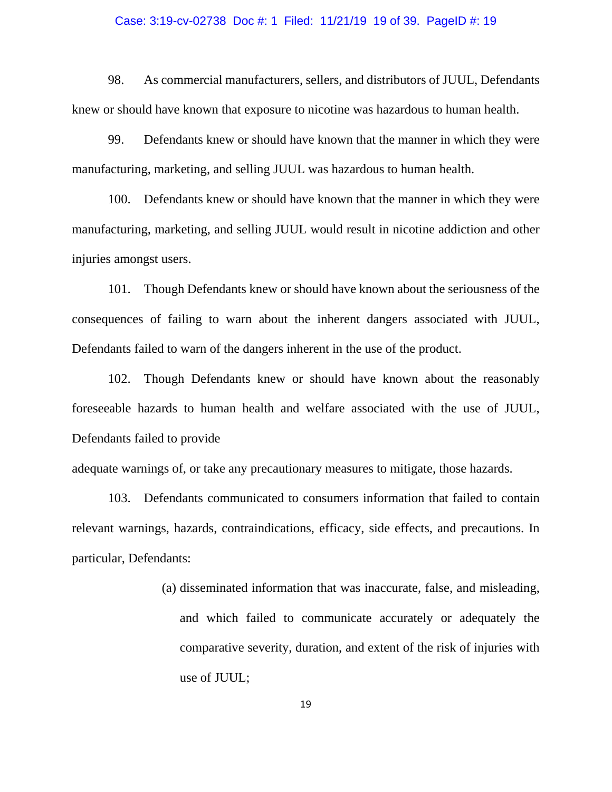#### Case: 3:19-cv-02738 Doc #: 1 Filed: 11/21/19 19 of 39. PageID #: 19

98. As commercial manufacturers, sellers, and distributors of JUUL, Defendants knew or should have known that exposure to nicotine was hazardous to human health.

99. Defendants knew or should have known that the manner in which they were manufacturing, marketing, and selling JUUL was hazardous to human health.

100. Defendants knew or should have known that the manner in which they were manufacturing, marketing, and selling JUUL would result in nicotine addiction and other injuries amongst users.

101. Though Defendants knew or should have known about the seriousness of the consequences of failing to warn about the inherent dangers associated with JUUL, Defendants failed to warn of the dangers inherent in the use of the product.

102. Though Defendants knew or should have known about the reasonably foreseeable hazards to human health and welfare associated with the use of JUUL, Defendants failed to provide

adequate warnings of, or take any precautionary measures to mitigate, those hazards.

103. Defendants communicated to consumers information that failed to contain relevant warnings, hazards, contraindications, efficacy, side effects, and precautions. In particular, Defendants:

> (a) disseminated information that was inaccurate, false, and misleading, and which failed to communicate accurately or adequately the comparative severity, duration, and extent of the risk of injuries with use of JUUL;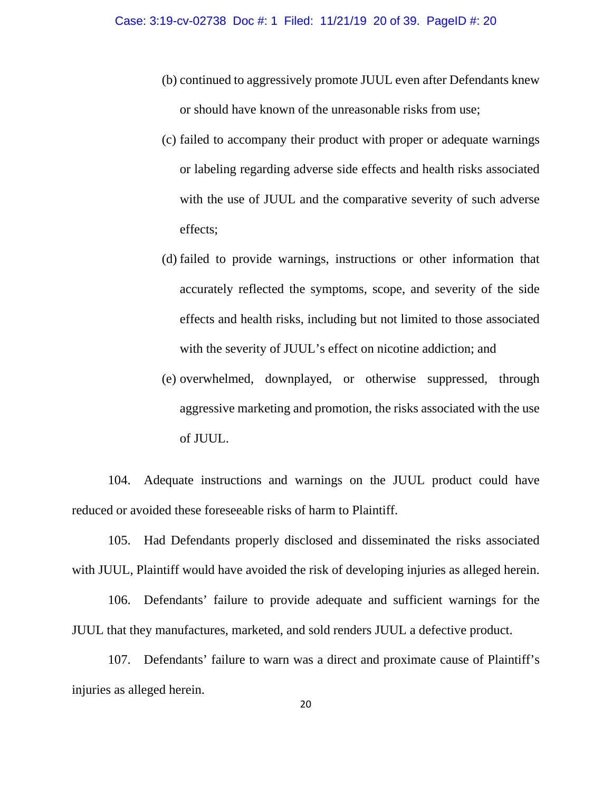- (b) continued to aggressively promote JUUL even after Defendants knew or should have known of the unreasonable risks from use;
- (c) failed to accompany their product with proper or adequate warnings or labeling regarding adverse side effects and health risks associated with the use of JUUL and the comparative severity of such adverse effects;
- (d) failed to provide warnings, instructions or other information that accurately reflected the symptoms, scope, and severity of the side effects and health risks, including but not limited to those associated with the severity of JUUL's effect on nicotine addiction; and
- (e) overwhelmed, downplayed, or otherwise suppressed, through aggressive marketing and promotion, the risks associated with the use of JUUL.

104. Adequate instructions and warnings on the JUUL product could have reduced or avoided these foreseeable risks of harm to Plaintiff.

105. Had Defendants properly disclosed and disseminated the risks associated with JUUL, Plaintiff would have avoided the risk of developing injuries as alleged herein.

106. Defendants' failure to provide adequate and sufficient warnings for the JUUL that they manufactures, marketed, and sold renders JUUL a defective product.

107. Defendants' failure to warn was a direct and proximate cause of Plaintiff's injuries as alleged herein.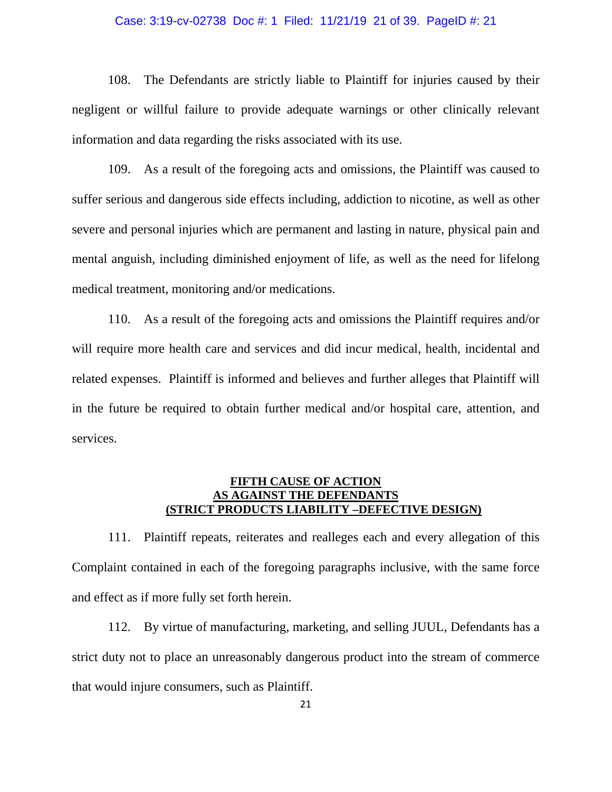#### Case: 3:19-cv-02738 Doc #: 1 Filed: 11/21/19 21 of 39. PageID #: 21

108. The Defendants are strictly liable to Plaintiff for injuries caused by their negligent or willful failure to provide adequate warnings or other clinically relevant information and data regarding the risks associated with its use.

109. As a result of the foregoing acts and omissions, the Plaintiff was caused to suffer serious and dangerous side effects including, addiction to nicotine, as well as other severe and personal injuries which are permanent and lasting in nature, physical pain and mental anguish, including diminished enjoyment of life, as well as the need for lifelong medical treatment, monitoring and/or medications.

110. As a result of the foregoing acts and omissions the Plaintiff requires and/or will require more health care and services and did incur medical, health, incidental and related expenses. Plaintiff is informed and believes and further alleges that Plaintiff will in the future be required to obtain further medical and/or hospital care, attention, and services.

### **FIFTH CAUSE OF ACTION AS AGAINST THE DEFENDANTS (STRICT PRODUCTS LIABILITY –DEFECTIVE DESIGN)**

111. Plaintiff repeats, reiterates and realleges each and every allegation of this Complaint contained in each of the foregoing paragraphs inclusive, with the same force and effect as if more fully set forth herein.

112. By virtue of manufacturing, marketing, and selling JUUL, Defendants has a strict duty not to place an unreasonably dangerous product into the stream of commerce that would injure consumers, such as Plaintiff.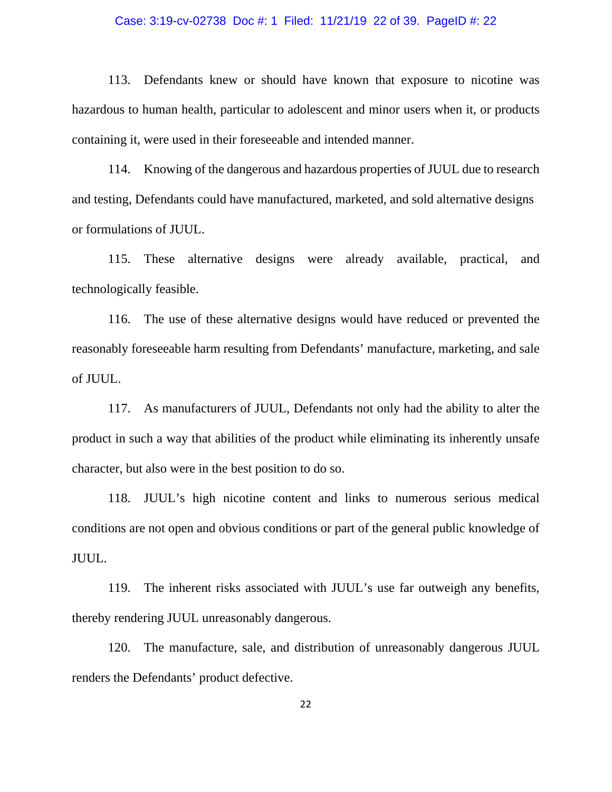#### Case: 3:19-cv-02738 Doc #: 1 Filed: 11/21/19 22 of 39. PageID #: 22

113. Defendants knew or should have known that exposure to nicotine was hazardous to human health, particular to adolescent and minor users when it, or products containing it, were used in their foreseeable and intended manner.

114. Knowing of the dangerous and hazardous properties of JUUL due to research and testing, Defendants could have manufactured, marketed, and sold alternative designs or formulations of JUUL.

115. These alternative designs were already available, practical, and technologically feasible.

116. The use of these alternative designs would have reduced or prevented the reasonably foreseeable harm resulting from Defendants' manufacture, marketing, and sale of JUUL.

117. As manufacturers of JUUL, Defendants not only had the ability to alter the product in such a way that abilities of the product while eliminating its inherently unsafe character, but also were in the best position to do so.

118. JUUL's high nicotine content and links to numerous serious medical conditions are not open and obvious conditions or part of the general public knowledge of JUUL.

119. The inherent risks associated with JUUL's use far outweigh any benefits, thereby rendering JUUL unreasonably dangerous.

120. The manufacture, sale, and distribution of unreasonably dangerous JUUL renders the Defendants' product defective.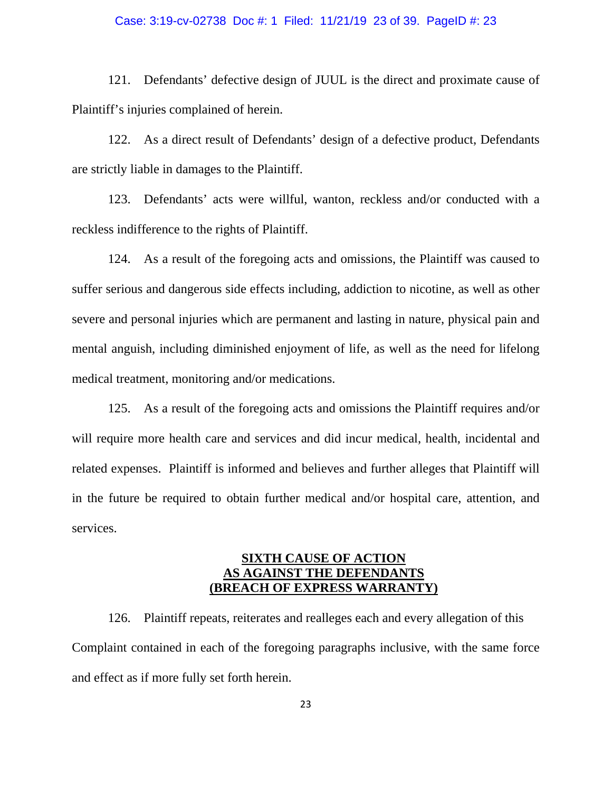#### Case: 3:19-cv-02738 Doc #: 1 Filed: 11/21/19 23 of 39. PageID #: 23

121. Defendants' defective design of JUUL is the direct and proximate cause of Plaintiff's injuries complained of herein.

122. As a direct result of Defendants' design of a defective product, Defendants are strictly liable in damages to the Plaintiff.

123. Defendants' acts were willful, wanton, reckless and/or conducted with a reckless indifference to the rights of Plaintiff.

124. As a result of the foregoing acts and omissions, the Plaintiff was caused to suffer serious and dangerous side effects including, addiction to nicotine, as well as other severe and personal injuries which are permanent and lasting in nature, physical pain and mental anguish, including diminished enjoyment of life, as well as the need for lifelong medical treatment, monitoring and/or medications.

125. As a result of the foregoing acts and omissions the Plaintiff requires and/or will require more health care and services and did incur medical, health, incidental and related expenses. Plaintiff is informed and believes and further alleges that Plaintiff will in the future be required to obtain further medical and/or hospital care, attention, and services.

# **SIXTH CAUSE OF ACTION AS AGAINST THE DEFENDANTS (BREACH OF EXPRESS WARRANTY)**

126. Plaintiff repeats, reiterates and realleges each and every allegation of this Complaint contained in each of the foregoing paragraphs inclusive, with the same force and effect as if more fully set forth herein.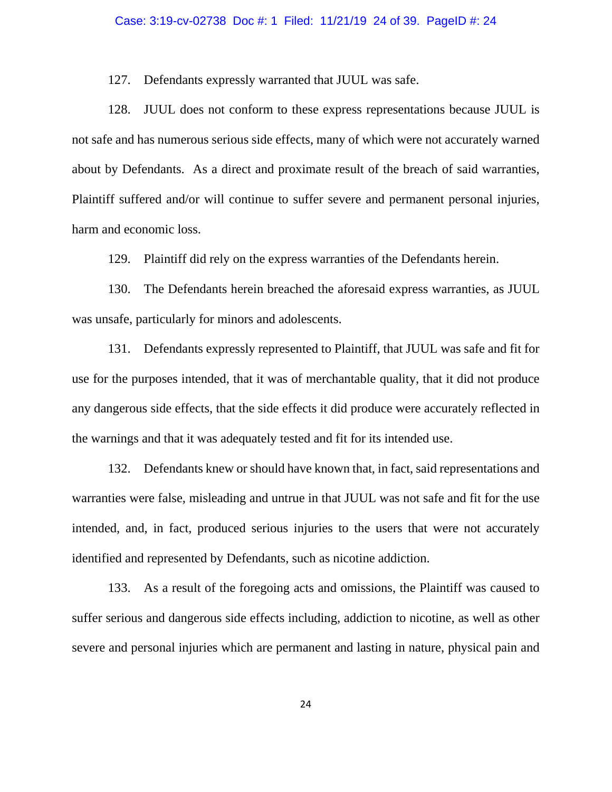127. Defendants expressly warranted that JUUL was safe.

128. JUUL does not conform to these express representations because JUUL is not safe and has numerous serious side effects, many of which were not accurately warned about by Defendants. As a direct and proximate result of the breach of said warranties, Plaintiff suffered and/or will continue to suffer severe and permanent personal injuries, harm and economic loss.

129. Plaintiff did rely on the express warranties of the Defendants herein.

130. The Defendants herein breached the aforesaid express warranties, as JUUL was unsafe, particularly for minors and adolescents.

131. Defendants expressly represented to Plaintiff, that JUUL was safe and fit for use for the purposes intended, that it was of merchantable quality, that it did not produce any dangerous side effects, that the side effects it did produce were accurately reflected in the warnings and that it was adequately tested and fit for its intended use.

132. Defendants knew or should have known that, in fact, said representations and warranties were false, misleading and untrue in that JUUL was not safe and fit for the use intended, and, in fact, produced serious injuries to the users that were not accurately identified and represented by Defendants, such as nicotine addiction.

133. As a result of the foregoing acts and omissions, the Plaintiff was caused to suffer serious and dangerous side effects including, addiction to nicotine, as well as other severe and personal injuries which are permanent and lasting in nature, physical pain and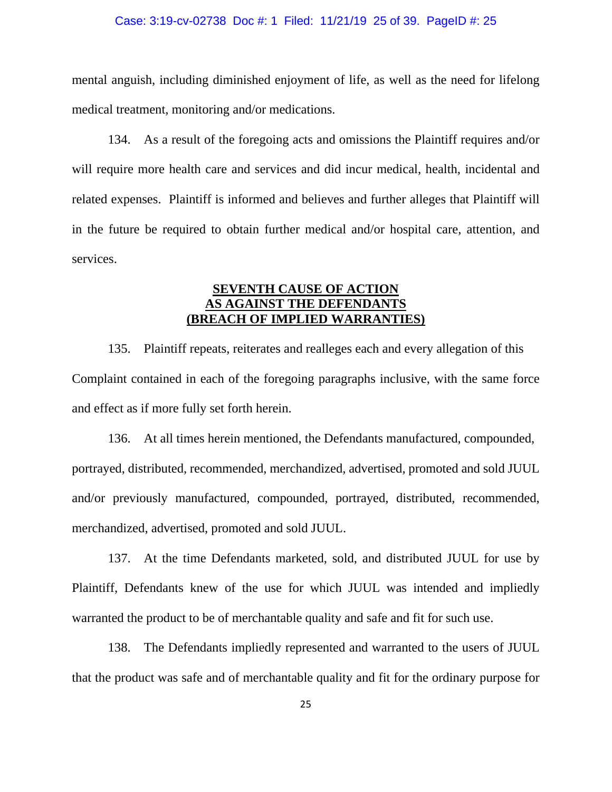#### Case: 3:19-cv-02738 Doc #: 1 Filed: 11/21/19 25 of 39. PageID #: 25

mental anguish, including diminished enjoyment of life, as well as the need for lifelong medical treatment, monitoring and/or medications.

134. As a result of the foregoing acts and omissions the Plaintiff requires and/or will require more health care and services and did incur medical, health, incidental and related expenses. Plaintiff is informed and believes and further alleges that Plaintiff will in the future be required to obtain further medical and/or hospital care, attention, and services.

# **SEVENTH CAUSE OF ACTION AS AGAINST THE DEFENDANTS (BREACH OF IMPLIED WARRANTIES)**

135. Plaintiff repeats, reiterates and realleges each and every allegation of this Complaint contained in each of the foregoing paragraphs inclusive, with the same force and effect as if more fully set forth herein.

136. At all times herein mentioned, the Defendants manufactured, compounded, portrayed, distributed, recommended, merchandized, advertised, promoted and sold JUUL and/or previously manufactured, compounded, portrayed, distributed, recommended, merchandized, advertised, promoted and sold JUUL.

137. At the time Defendants marketed, sold, and distributed JUUL for use by Plaintiff, Defendants knew of the use for which JUUL was intended and impliedly warranted the product to be of merchantable quality and safe and fit for such use.

138. The Defendants impliedly represented and warranted to the users of JUUL that the product was safe and of merchantable quality and fit for the ordinary purpose for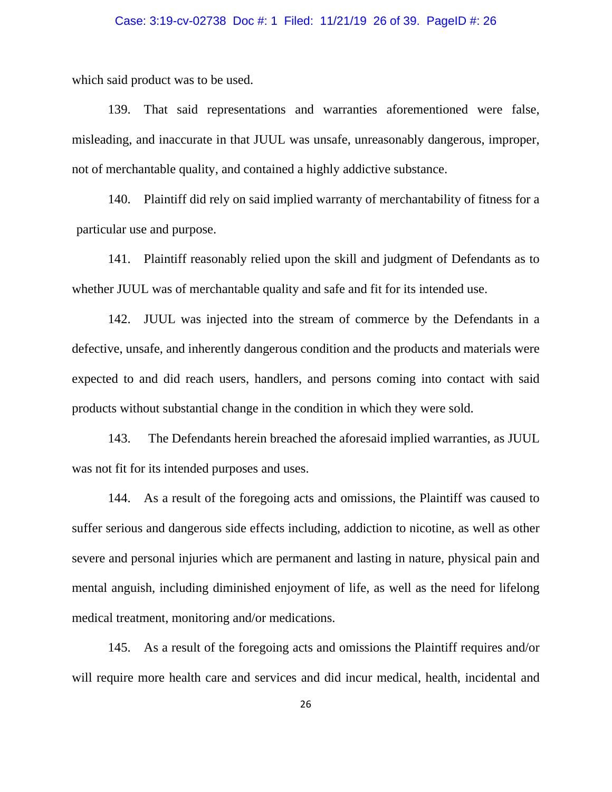#### Case: 3:19-cv-02738 Doc #: 1 Filed: 11/21/19 26 of 39. PageID #: 26

which said product was to be used.

139. That said representations and warranties aforementioned were false, misleading, and inaccurate in that JUUL was unsafe, unreasonably dangerous, improper, not of merchantable quality, and contained a highly addictive substance.

140. Plaintiff did rely on said implied warranty of merchantability of fitness for a particular use and purpose.

141. Plaintiff reasonably relied upon the skill and judgment of Defendants as to whether JUUL was of merchantable quality and safe and fit for its intended use.

142. JUUL was injected into the stream of commerce by the Defendants in a defective, unsafe, and inherently dangerous condition and the products and materials were expected to and did reach users, handlers, and persons coming into contact with said products without substantial change in the condition in which they were sold.

143. The Defendants herein breached the aforesaid implied warranties, as JUUL was not fit for its intended purposes and uses.

144. As a result of the foregoing acts and omissions, the Plaintiff was caused to suffer serious and dangerous side effects including, addiction to nicotine, as well as other severe and personal injuries which are permanent and lasting in nature, physical pain and mental anguish, including diminished enjoyment of life, as well as the need for lifelong medical treatment, monitoring and/or medications.

145. As a result of the foregoing acts and omissions the Plaintiff requires and/or will require more health care and services and did incur medical, health, incidental and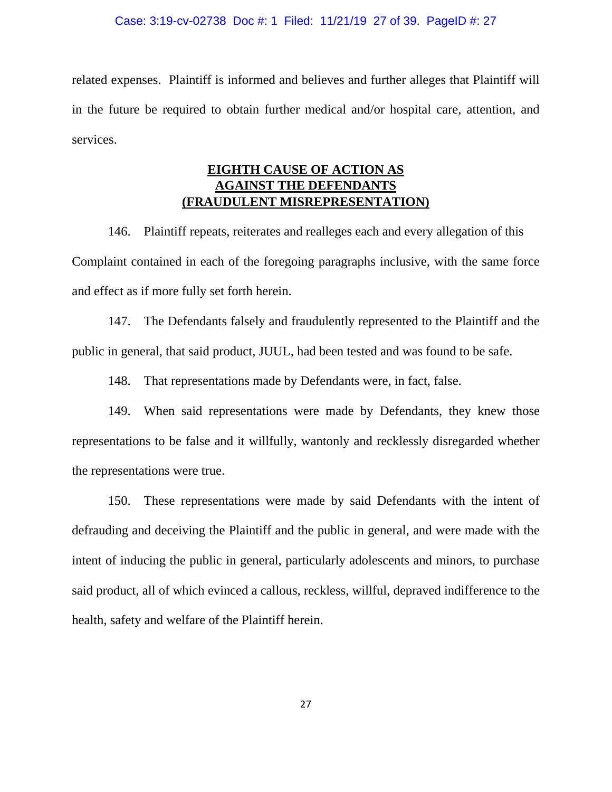related expenses. Plaintiff is informed and believes and further alleges that Plaintiff will in the future be required to obtain further medical and/or hospital care, attention, and services.

# **EIGHTH CAUSE OF ACTION AS AGAINST THE DEFENDANTS (FRAUDULENT MISREPRESENTATION)**

146. Plaintiff repeats, reiterates and realleges each and every allegation of this Complaint contained in each of the foregoing paragraphs inclusive, with the same force and effect as if more fully set forth herein.

147. The Defendants falsely and fraudulently represented to the Plaintiff and the public in general, that said product, JUUL, had been tested and was found to be safe.

148. That representations made by Defendants were, in fact, false.

149. When said representations were made by Defendants, they knew those representations to be false and it willfully, wantonly and recklessly disregarded whether the representations were true.

150. These representations were made by said Defendants with the intent of defrauding and deceiving the Plaintiff and the public in general, and were made with the intent of inducing the public in general, particularly adolescents and minors, to purchase said product, all of which evinced a callous, reckless, willful, depraved indifference to the health, safety and welfare of the Plaintiff herein.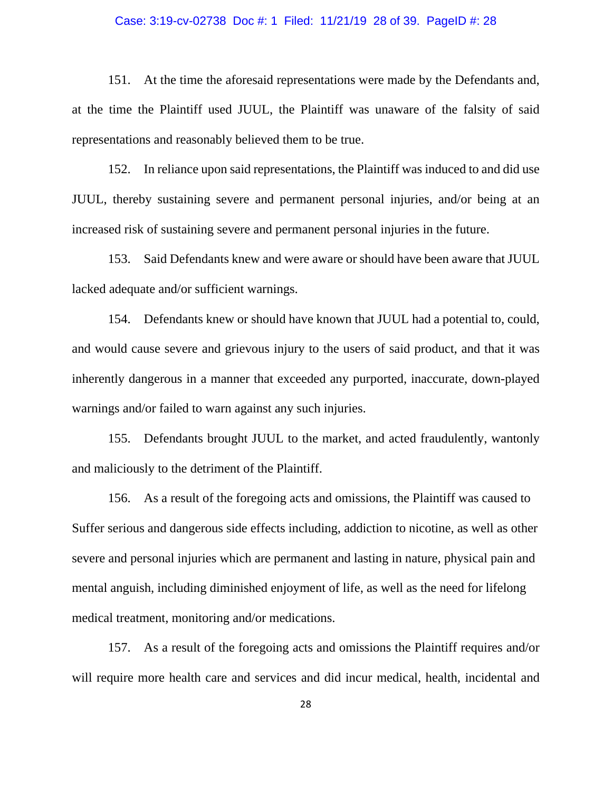#### Case: 3:19-cv-02738 Doc #: 1 Filed: 11/21/19 28 of 39. PageID #: 28

151. At the time the aforesaid representations were made by the Defendants and, at the time the Plaintiff used JUUL, the Plaintiff was unaware of the falsity of said representations and reasonably believed them to be true.

152. In reliance upon said representations, the Plaintiff was induced to and did use JUUL, thereby sustaining severe and permanent personal injuries, and/or being at an increased risk of sustaining severe and permanent personal injuries in the future.

153. Said Defendants knew and were aware or should have been aware that JUUL lacked adequate and/or sufficient warnings.

154. Defendants knew or should have known that JUUL had a potential to, could, and would cause severe and grievous injury to the users of said product, and that it was inherently dangerous in a manner that exceeded any purported, inaccurate, down-played warnings and/or failed to warn against any such injuries.

155. Defendants brought JUUL to the market, and acted fraudulently, wantonly and maliciously to the detriment of the Plaintiff.

156. As a result of the foregoing acts and omissions, the Plaintiff was caused to Suffer serious and dangerous side effects including, addiction to nicotine, as well as other severe and personal injuries which are permanent and lasting in nature, physical pain and mental anguish, including diminished enjoyment of life, as well as the need for lifelong medical treatment, monitoring and/or medications.

157. As a result of the foregoing acts and omissions the Plaintiff requires and/or will require more health care and services and did incur medical, health, incidental and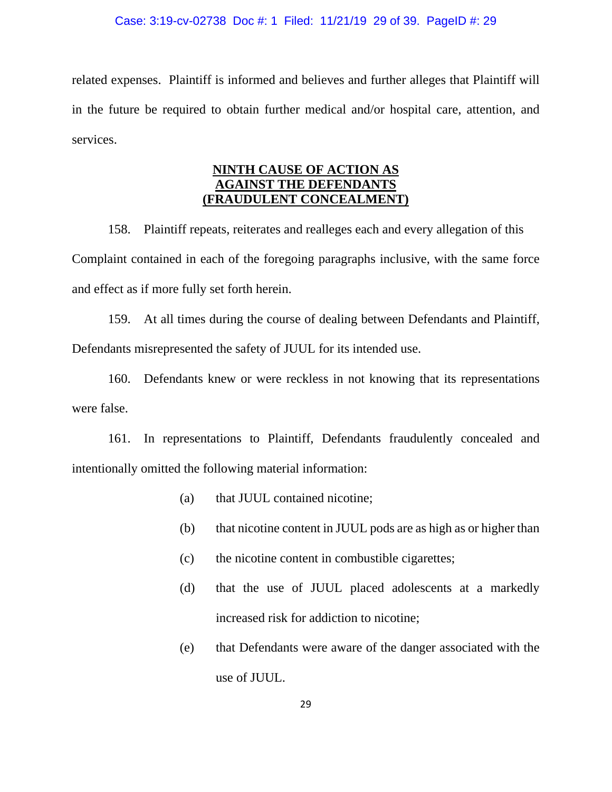#### Case: 3:19-cv-02738 Doc #: 1 Filed: 11/21/19 29 of 39. PageID #: 29

related expenses. Plaintiff is informed and believes and further alleges that Plaintiff will in the future be required to obtain further medical and/or hospital care, attention, and services.

# **NINTH CAUSE OF ACTION AS AGAINST THE DEFENDANTS (FRAUDULENT CONCEALMENT)**

158. Plaintiff repeats, reiterates and realleges each and every allegation of this Complaint contained in each of the foregoing paragraphs inclusive, with the same force and effect as if more fully set forth herein.

159. At all times during the course of dealing between Defendants and Plaintiff, Defendants misrepresented the safety of JUUL for its intended use.

160. Defendants knew or were reckless in not knowing that its representations were false.

161. In representations to Plaintiff, Defendants fraudulently concealed and intentionally omitted the following material information:

- (a) that JUUL contained nicotine;
- (b) that nicotine content in JUUL pods are as high as or higher than
- (c) the nicotine content in combustible cigarettes;
- (d) that the use of JUUL placed adolescents at a markedly increased risk for addiction to nicotine;
- (e) that Defendants were aware of the danger associated with the use of JUUL.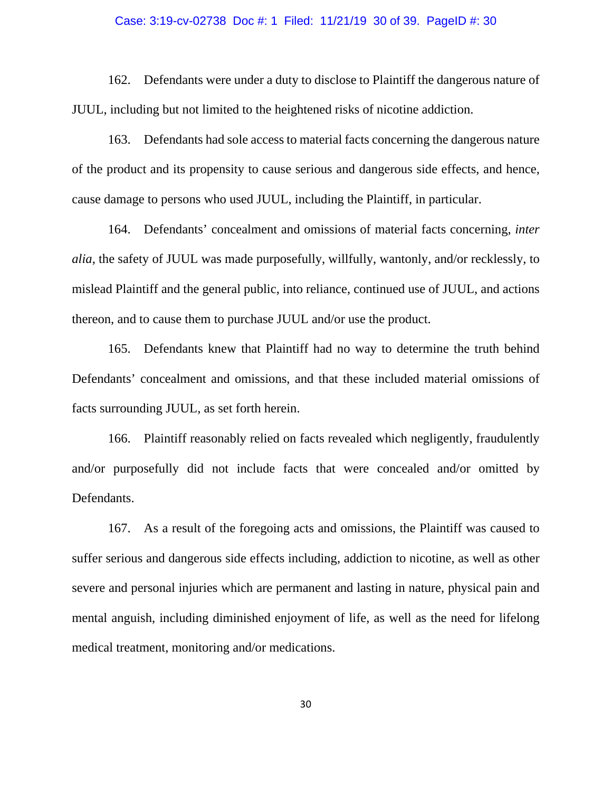#### Case: 3:19-cv-02738 Doc #: 1 Filed: 11/21/19 30 of 39. PageID #: 30

162. Defendants were under a duty to disclose to Plaintiff the dangerous nature of JUUL, including but not limited to the heightened risks of nicotine addiction.

163. Defendants had sole access to material facts concerning the dangerous nature of the product and its propensity to cause serious and dangerous side effects, and hence, cause damage to persons who used JUUL, including the Plaintiff, in particular.

164. Defendants' concealment and omissions of material facts concerning, *inter alia*, the safety of JUUL was made purposefully, willfully, wantonly, and/or recklessly, to mislead Plaintiff and the general public, into reliance, continued use of JUUL, and actions thereon, and to cause them to purchase JUUL and/or use the product.

165. Defendants knew that Plaintiff had no way to determine the truth behind Defendants' concealment and omissions, and that these included material omissions of facts surrounding JUUL, as set forth herein.

166. Plaintiff reasonably relied on facts revealed which negligently, fraudulently and/or purposefully did not include facts that were concealed and/or omitted by Defendants.

167. As a result of the foregoing acts and omissions, the Plaintiff was caused to suffer serious and dangerous side effects including, addiction to nicotine, as well as other severe and personal injuries which are permanent and lasting in nature, physical pain and mental anguish, including diminished enjoyment of life, as well as the need for lifelong medical treatment, monitoring and/or medications.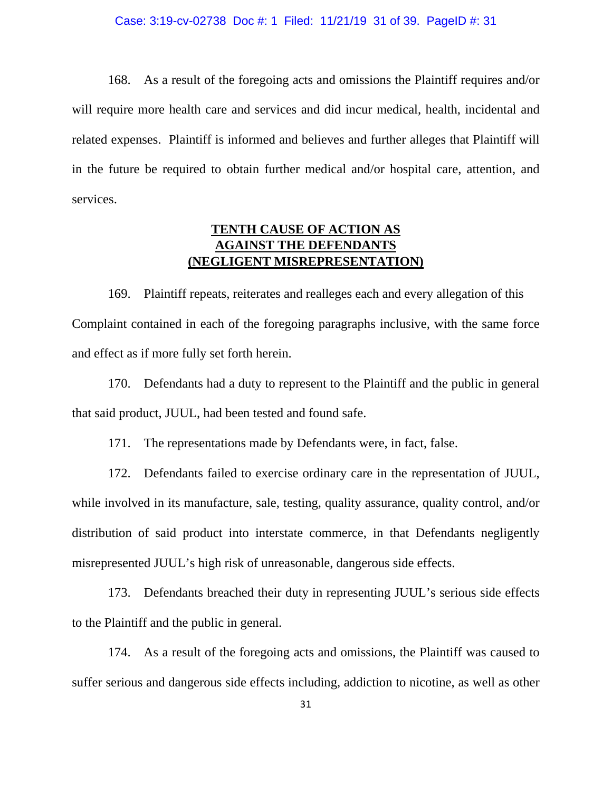168. As a result of the foregoing acts and omissions the Plaintiff requires and/or will require more health care and services and did incur medical, health, incidental and related expenses. Plaintiff is informed and believes and further alleges that Plaintiff will in the future be required to obtain further medical and/or hospital care, attention, and services.

# **TENTH CAUSE OF ACTION AS AGAINST THE DEFENDANTS (NEGLIGENT MISREPRESENTATION)**

169. Plaintiff repeats, reiterates and realleges each and every allegation of this Complaint contained in each of the foregoing paragraphs inclusive, with the same force and effect as if more fully set forth herein.

170. Defendants had a duty to represent to the Plaintiff and the public in general that said product, JUUL, had been tested and found safe.

171. The representations made by Defendants were, in fact, false.

172. Defendants failed to exercise ordinary care in the representation of JUUL, while involved in its manufacture, sale, testing, quality assurance, quality control, and/or distribution of said product into interstate commerce, in that Defendants negligently misrepresented JUUL's high risk of unreasonable, dangerous side effects.

173. Defendants breached their duty in representing JUUL's serious side effects to the Plaintiff and the public in general.

174. As a result of the foregoing acts and omissions, the Plaintiff was caused to suffer serious and dangerous side effects including, addiction to nicotine, as well as other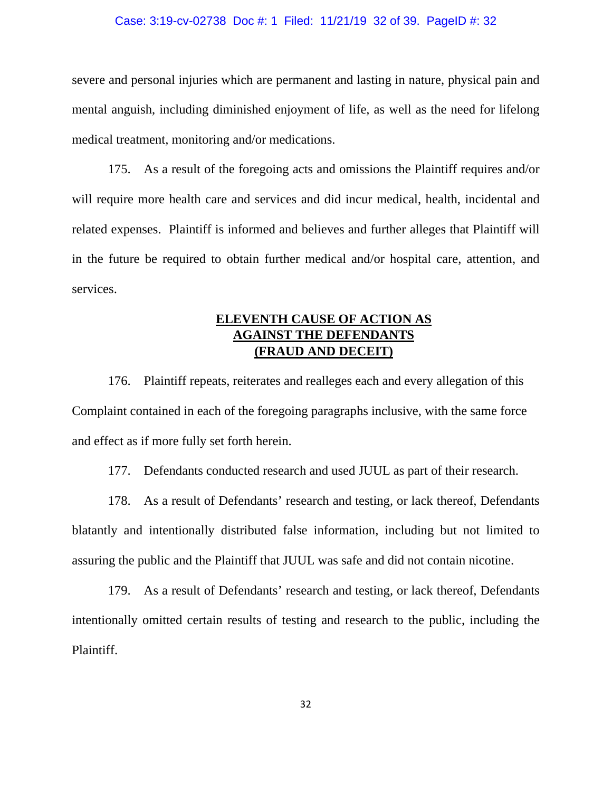#### Case: 3:19-cv-02738 Doc #: 1 Filed: 11/21/19 32 of 39. PageID #: 32

severe and personal injuries which are permanent and lasting in nature, physical pain and mental anguish, including diminished enjoyment of life, as well as the need for lifelong medical treatment, monitoring and/or medications.

175. As a result of the foregoing acts and omissions the Plaintiff requires and/or will require more health care and services and did incur medical, health, incidental and related expenses. Plaintiff is informed and believes and further alleges that Plaintiff will in the future be required to obtain further medical and/or hospital care, attention, and services.

# **ELEVENTH CAUSE OF ACTION AS AGAINST THE DEFENDANTS (FRAUD AND DECEIT)**

176. Plaintiff repeats, reiterates and realleges each and every allegation of this Complaint contained in each of the foregoing paragraphs inclusive, with the same force and effect as if more fully set forth herein.

177. Defendants conducted research and used JUUL as part of their research.

178. As a result of Defendants' research and testing, or lack thereof, Defendants blatantly and intentionally distributed false information, including but not limited to assuring the public and the Plaintiff that JUUL was safe and did not contain nicotine.

179. As a result of Defendants' research and testing, or lack thereof, Defendants intentionally omitted certain results of testing and research to the public, including the Plaintiff.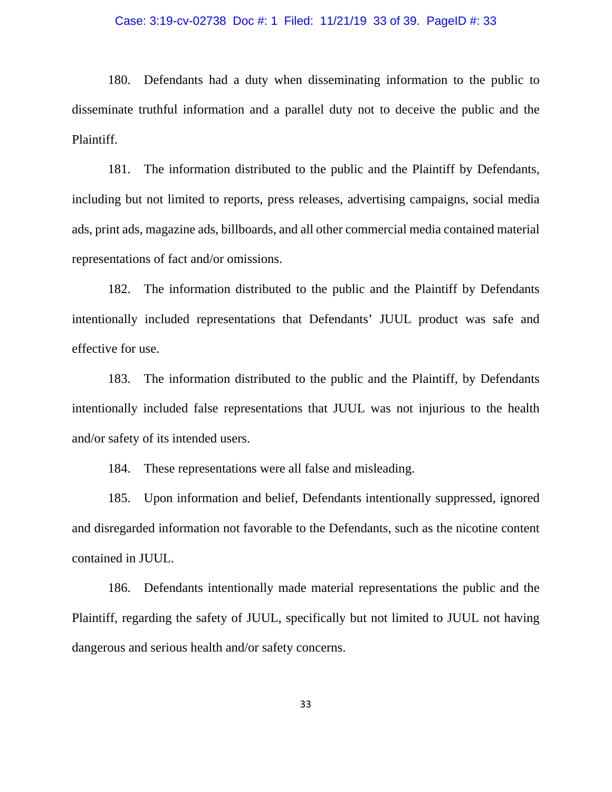#### Case: 3:19-cv-02738 Doc #: 1 Filed: 11/21/19 33 of 39. PageID #: 33

180. Defendants had a duty when disseminating information to the public to disseminate truthful information and a parallel duty not to deceive the public and the Plaintiff.

181. The information distributed to the public and the Plaintiff by Defendants, including but not limited to reports, press releases, advertising campaigns, social media ads, print ads, magazine ads, billboards, and all other commercial media contained material representations of fact and/or omissions.

182. The information distributed to the public and the Plaintiff by Defendants intentionally included representations that Defendants' JUUL product was safe and effective for use.

183. The information distributed to the public and the Plaintiff, by Defendants intentionally included false representations that JUUL was not injurious to the health and/or safety of its intended users.

184. These representations were all false and misleading.

185. Upon information and belief, Defendants intentionally suppressed, ignored and disregarded information not favorable to the Defendants, such as the nicotine content contained in JUUL.

186. Defendants intentionally made material representations the public and the Plaintiff, regarding the safety of JUUL, specifically but not limited to JUUL not having dangerous and serious health and/or safety concerns.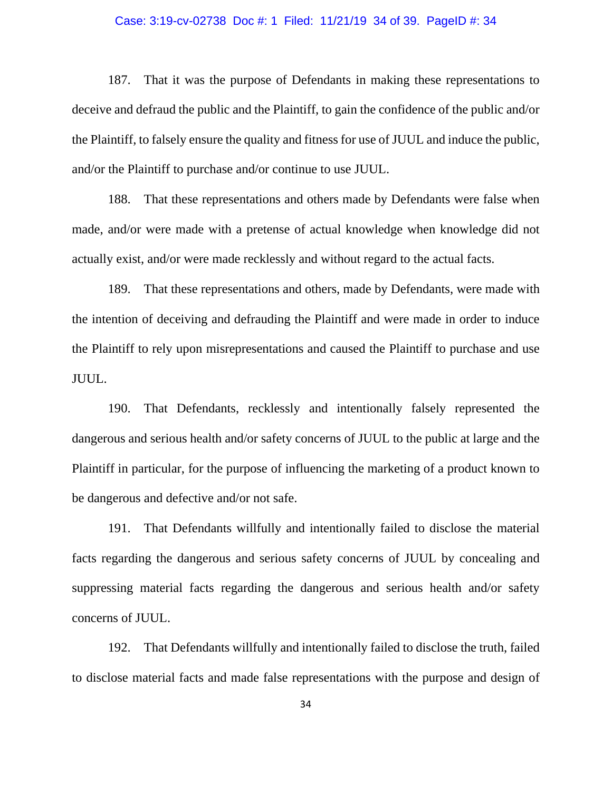#### Case: 3:19-cv-02738 Doc #: 1 Filed: 11/21/19 34 of 39. PageID #: 34

187. That it was the purpose of Defendants in making these representations to deceive and defraud the public and the Plaintiff, to gain the confidence of the public and/or the Plaintiff, to falsely ensure the quality and fitness for use of JUUL and induce the public, and/or the Plaintiff to purchase and/or continue to use JUUL.

188. That these representations and others made by Defendants were false when made, and/or were made with a pretense of actual knowledge when knowledge did not actually exist, and/or were made recklessly and without regard to the actual facts.

189. That these representations and others, made by Defendants, were made with the intention of deceiving and defrauding the Plaintiff and were made in order to induce the Plaintiff to rely upon misrepresentations and caused the Plaintiff to purchase and use JUUL.

190. That Defendants, recklessly and intentionally falsely represented the dangerous and serious health and/or safety concerns of JUUL to the public at large and the Plaintiff in particular, for the purpose of influencing the marketing of a product known to be dangerous and defective and/or not safe.

191. That Defendants willfully and intentionally failed to disclose the material facts regarding the dangerous and serious safety concerns of JUUL by concealing and suppressing material facts regarding the dangerous and serious health and/or safety concerns of JUUL.

192. That Defendants willfully and intentionally failed to disclose the truth, failed to disclose material facts and made false representations with the purpose and design of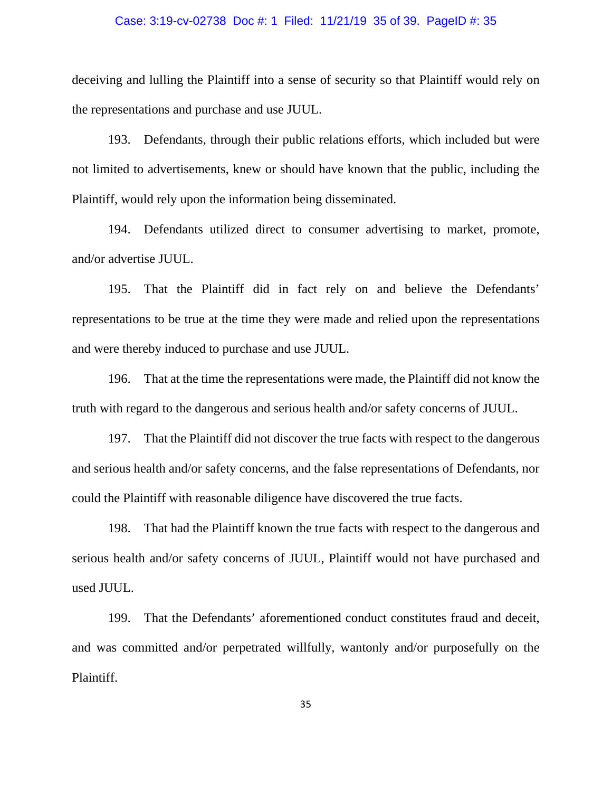#### Case: 3:19-cv-02738 Doc #: 1 Filed: 11/21/19 35 of 39. PageID #: 35

deceiving and lulling the Plaintiff into a sense of security so that Plaintiff would rely on the representations and purchase and use JUUL.

193. Defendants, through their public relations efforts, which included but were not limited to advertisements, knew or should have known that the public, including the Plaintiff, would rely upon the information being disseminated.

194. Defendants utilized direct to consumer advertising to market, promote, and/or advertise JUUL.

195. That the Plaintiff did in fact rely on and believe the Defendants' representations to be true at the time they were made and relied upon the representations and were thereby induced to purchase and use JUUL.

196. That at the time the representations were made, the Plaintiff did not know the truth with regard to the dangerous and serious health and/or safety concerns of JUUL.

197. That the Plaintiff did not discover the true facts with respect to the dangerous and serious health and/or safety concerns, and the false representations of Defendants, nor could the Plaintiff with reasonable diligence have discovered the true facts.

198. That had the Plaintiff known the true facts with respect to the dangerous and serious health and/or safety concerns of JUUL, Plaintiff would not have purchased and used JUUL.

199. That the Defendants' aforementioned conduct constitutes fraud and deceit, and was committed and/or perpetrated willfully, wantonly and/or purposefully on the Plaintiff.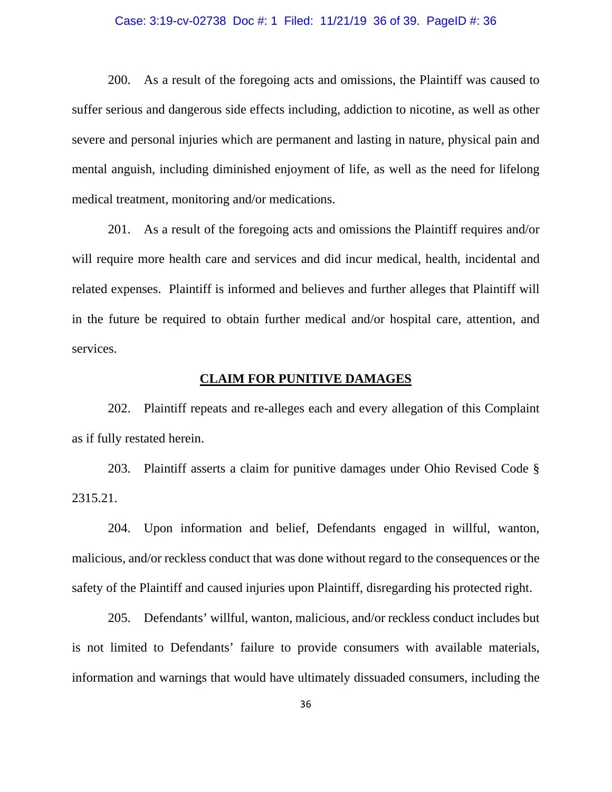#### Case: 3:19-cv-02738 Doc #: 1 Filed: 11/21/19 36 of 39. PageID #: 36

200. As a result of the foregoing acts and omissions, the Plaintiff was caused to suffer serious and dangerous side effects including, addiction to nicotine, as well as other severe and personal injuries which are permanent and lasting in nature, physical pain and mental anguish, including diminished enjoyment of life, as well as the need for lifelong medical treatment, monitoring and/or medications.

201. As a result of the foregoing acts and omissions the Plaintiff requires and/or will require more health care and services and did incur medical, health, incidental and related expenses. Plaintiff is informed and believes and further alleges that Plaintiff will in the future be required to obtain further medical and/or hospital care, attention, and services.

### **CLAIM FOR PUNITIVE DAMAGES**

202. Plaintiff repeats and re-alleges each and every allegation of this Complaint as if fully restated herein.

203. Plaintiff asserts a claim for punitive damages under Ohio Revised Code § 2315.21.

204. Upon information and belief, Defendants engaged in willful, wanton, malicious, and/or reckless conduct that was done without regard to the consequences or the safety of the Plaintiff and caused injuries upon Plaintiff, disregarding his protected right.

205. Defendants' willful, wanton, malicious, and/or reckless conduct includes but is not limited to Defendants' failure to provide consumers with available materials, information and warnings that would have ultimately dissuaded consumers, including the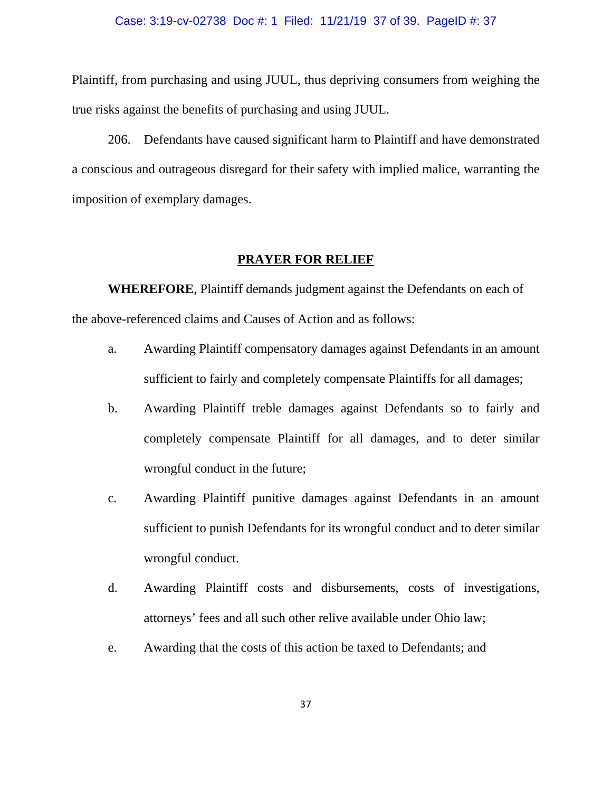#### Case: 3:19-cv-02738 Doc #: 1 Filed: 11/21/19 37 of 39. PageID #: 37

Plaintiff, from purchasing and using JUUL, thus depriving consumers from weighing the true risks against the benefits of purchasing and using JUUL.

206. Defendants have caused significant harm to Plaintiff and have demonstrated a conscious and outrageous disregard for their safety with implied malice, warranting the imposition of exemplary damages.

### **PRAYER FOR RELIEF**

**WHEREFORE**, Plaintiff demands judgment against the Defendants on each of the above-referenced claims and Causes of Action and as follows:

- a. Awarding Plaintiff compensatory damages against Defendants in an amount sufficient to fairly and completely compensate Plaintiffs for all damages;
- b. Awarding Plaintiff treble damages against Defendants so to fairly and completely compensate Plaintiff for all damages, and to deter similar wrongful conduct in the future;
- c. Awarding Plaintiff punitive damages against Defendants in an amount sufficient to punish Defendants for its wrongful conduct and to deter similar wrongful conduct.
- d. Awarding Plaintiff costs and disbursements, costs of investigations, attorneys' fees and all such other relive available under Ohio law;
- e. Awarding that the costs of this action be taxed to Defendants; and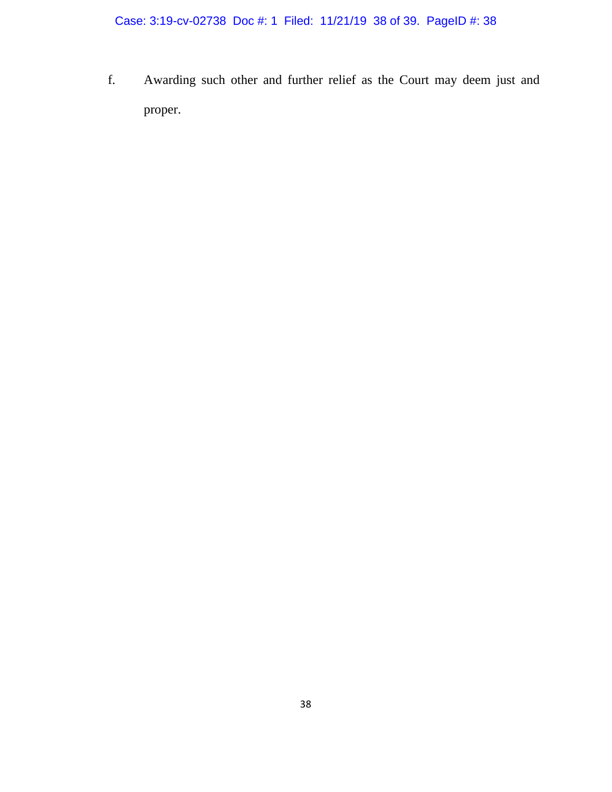Case: 3:19-cv-02738 Doc #: 1 Filed: 11/21/19 38 of 39. PageID #: 38

f. Awarding such other and further relief as the Court may deem just and proper.